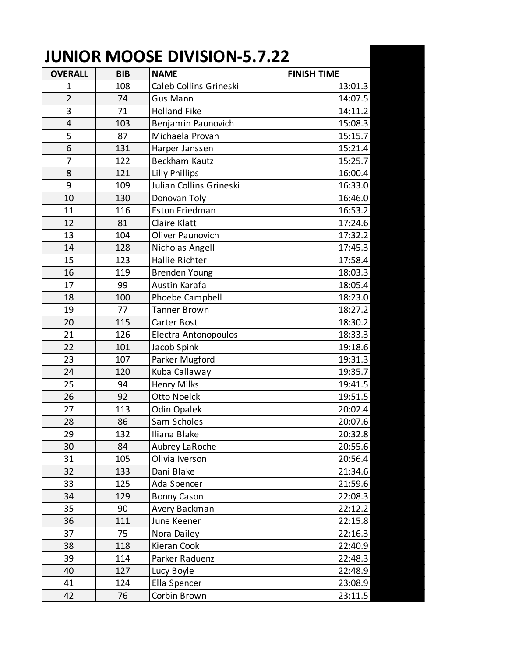## **JUNIOR MOOSE DIVISION-5.7.22**

| <b>OVERALL</b>          | <b>BIB</b> | <b>NAME</b>             | <b>FINISH TIME</b> |
|-------------------------|------------|-------------------------|--------------------|
| 1                       | 108        | Caleb Collins Grineski  | 13:01.3            |
| $\overline{2}$          | 74         | Gus Mann                | 14:07.5            |
| 3                       | 71         | <b>Holland Fike</b>     | 14:11.2            |
| $\overline{\mathbf{4}}$ | 103        | Benjamin Paunovich      | 15:08.3            |
| 5                       | 87         | Michaela Provan         | 15:15.7            |
| 6                       | 131        | Harper Janssen          | 15:21.4            |
| 7                       | 122        | Beckham Kautz           | 15:25.7            |
| 8                       | 121        | <b>Lilly Phillips</b>   | 16:00.4            |
| 9                       | 109        | Julian Collins Grineski | 16:33.0            |
| 10                      | 130        | Donovan Toly            | 16:46.0            |
| 11                      | 116        | <b>Eston Friedman</b>   | 16:53.2            |
| 12                      | 81         | Claire Klatt            | 17:24.6            |
| 13                      | 104        | Oliver Paunovich        | 17:32.2            |
| 14                      | 128        | Nicholas Angell         | 17:45.3            |
| 15                      | 123        | Hallie Richter          | 17:58.4            |
| 16                      | 119        | <b>Brenden Young</b>    | 18:03.3            |
| 17                      | 99         | Austin Karafa           | 18:05.4            |
| 18                      | 100        | Phoebe Campbell         | 18:23.0            |
| 19                      | 77         | <b>Tanner Brown</b>     | 18:27.2            |
| 20                      | 115        | Carter Bost             | 18:30.2            |
| 21                      | 126        | Electra Antonopoulos    | 18:33.3            |
| 22                      | 101        | Jacob Spink             | 19:18.6            |
| 23                      | 107        | Parker Mugford          | 19:31.3            |
| 24                      | 120        | Kuba Callaway           | 19:35.7            |
| 25                      | 94         | <b>Henry Milks</b>      | 19:41.5            |
| 26                      | 92         | Otto Noelck             | 19:51.5            |
| 27                      | 113        | Odin Opalek             | 20:02.4            |
| 28                      | 86         | Sam Scholes             | 20:07.6            |
| 29                      | 132        | Iliana Blake            | 20:32.8            |
| 30                      | 84         | Aubrey LaRoche          | 20:55.6            |
| 31                      | 105        | Olivia Iverson          | 20:56.4            |
| 32                      | 133        | Dani Blake              | 21:34.6            |
| 33                      | 125        | Ada Spencer             | 21:59.6            |
| 34                      | 129        | <b>Bonny Cason</b>      | 22:08.3            |
| 35                      | 90         | Avery Backman           | 22:12.2            |
| 36                      | 111        | June Keener             | 22:15.8            |
| 37                      | 75         | Nora Dailey             | 22:16.3            |
| 38                      | 118        | Kieran Cook             | 22:40.9            |
| 39                      | 114        | Parker Raduenz          | 22:48.3            |
| 40                      | 127        | Lucy Boyle              | 22:48.9            |
| 41                      | 124        | Ella Spencer            | 23:08.9            |
| 42                      | 76         | Corbin Brown            | 23:11.5            |